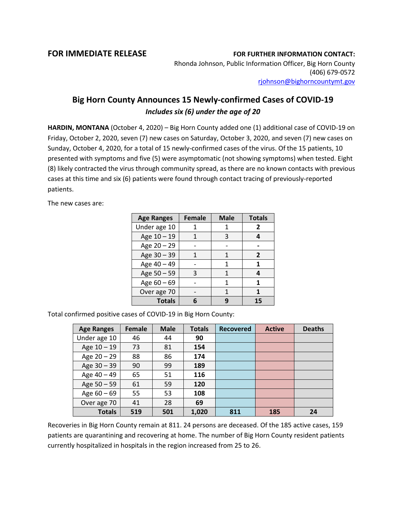## **FOR IMMEDIATE RELEASE FOR FURTHER INFORMATION CONTACT:**

Rhonda Johnson, Public Information Officer, Big Horn County (406) 679-0572 [rjohnson@bighorncountymt.gov](mailto:rjohnson@bighorncountymt.gov)

## **Big Horn County Announces 15 Newly-confirmed Cases of COVID-19** *Includes six (6) under the age of 20*

**HARDIN, MONTANA** (October 4, 2020) – Big Horn County added one (1) additional case of COVID-19 on Friday, October 2, 2020, seven (7) new cases on Saturday, October 3, 2020, and seven (7) new cases on Sunday, October 4, 2020, for a total of 15 newly-confirmed cases of the virus. Of the 15 patients, 10 presented with symptoms and five (5) were asymptomatic (not showing symptoms) when tested. Eight (8) likely contracted the virus through community spread, as there are no known contacts with previous cases at this time and six (6) patients were found through contact tracing of previously-reported patients.

The new cases are:

| <b>Age Ranges</b> | <b>Female</b> | <b>Male</b> | <b>Totals</b>  |
|-------------------|---------------|-------------|----------------|
| Under age 10      |               |             | $\overline{2}$ |
| Age 10 - 19       |               | 3           |                |
| Age 20 - 29       |               |             |                |
| Age 30 - 39       |               | 1           | 2              |
| Age 40 - 49       |               | 1           | 1              |
| Age 50 - 59       | 3             | 1           | 4              |
| Age 60 - 69       |               | 1           | 1              |
| Over age 70       |               | 1           |                |
| <b>Totals</b>     |               |             | 15             |

Total confirmed positive cases of COVID-19 in Big Horn County:

| <b>Age Ranges</b> | <b>Female</b> | <b>Male</b> | <b>Totals</b> | <b>Recovered</b> | <b>Active</b> | <b>Deaths</b> |
|-------------------|---------------|-------------|---------------|------------------|---------------|---------------|
| Under age 10      | 46            | 44          | 90            |                  |               |               |
| Age 10 - 19       | 73            | 81          | 154           |                  |               |               |
| Age $20 - 29$     | 88            | 86          | 174           |                  |               |               |
| Age 30 - 39       | 90            | 99          | 189           |                  |               |               |
| Age 40 - 49       | 65            | 51          | 116           |                  |               |               |
| Age 50 - 59       | 61            | 59          | 120           |                  |               |               |
| Age $60 - 69$     | 55            | 53          | 108           |                  |               |               |
| Over age 70       | 41            | 28          | 69            |                  |               |               |
| <b>Totals</b>     | 519           | 501         | 1,020         | 811              | 185           | 24            |

Recoveries in Big Horn County remain at 811. 24 persons are deceased. Of the 185 active cases, 159 patients are quarantining and recovering at home. The number of Big Horn County resident patients currently hospitalized in hospitals in the region increased from 25 to 26.